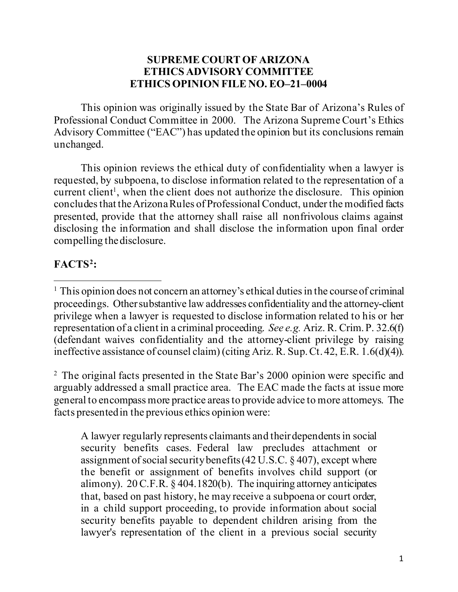## **SUPREME COURT OF ARIZONA ETHICS ADVISORY COMMITTEE ETHICS OPINION FILE NO. EO–21–0004**

This opinion was originally issued by the State Bar of Arizona's Rules of Professional Conduct Committee in 2000. The Arizona Supreme Court's Ethics Advisory Committee ("EAC") has updated the opinion but its conclusions remain unchanged.

This opinion reviews the ethical duty of confidentiality when a lawyer is requested, by subpoena, to disclose information related to the representation of a current client<sup>1</sup>, when the client does not authorize the disclosure. This opinion concludes that the Arizona Rules of Professional Conduct, under the modified facts presented, provide that the attorney shall raise all nonfrivolous claims against disclosing the information and shall disclose the information upon final order compelling the disclosure.

# **FACTS[2](#page-0-1):**

<span id="page-0-1"></span><sup>2</sup> The original facts presented in the State Bar's 2000 opinion were specific and arguably addressed a small practice area. The EAC made the facts at issue more general to encompass more practice areas to provide advice to more attorneys. The facts presented in the previous ethics opinion were:

A lawyer regularly represents claimants and their dependents in social security benefits cases. Federal law precludes attachment or assignment of social security benefits (42 U.S.C. § 407), except where the benefit or assignment of benefits involves child support (or alimony). 20 C.F.R. § 404.1820(b). The inquiring attorney anticipates that, based on past history, he may receive a subpoena or court order, in a child support proceeding, to provide information about social security benefits payable to dependent children arising from the lawyer's representation of the client in a previous social security

<span id="page-0-0"></span><sup>&</sup>lt;sup>1</sup> This opinion does not concern an attorney's ethical duties in the course of criminal proceedings. Other substantive law addresses confidentiality and the attorney-client privilege when a lawyer is requested to disclose information related to his or her representation of a client in a criminal proceeding. *See e.g.* Ariz. R. Crim. P. 32.6(f) (defendant waives confidentiality and the attorney-client privilege by raising ineffective assistance of counsel claim) (citing Ariz. R. Sup. Ct. 42, E.R. 1.6(d)(4)).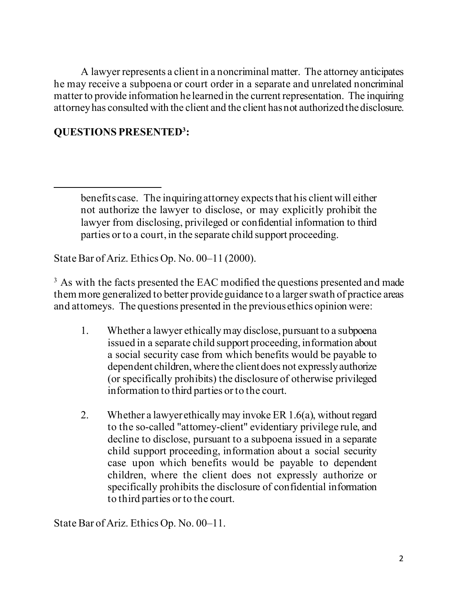A lawyer represents a client in a noncriminal matter. The attorney anticipates he may receive a subpoena or court order in a separate and unrelated noncriminal matter to provide information he learned in the current representation. The inquiring attorneyhas consulted with the client and the client has not authorized the disclosure.

## **QUESTIONS PRESENTE[D3](#page-1-0) :**

State Bar of Ariz. Ethics Op. No. 00–11 (2000).

<span id="page-1-0"></span><sup>3</sup> As with the facts presented the EAC modified the questions presented and made them more generalized to better provide guidance to a larger swath of practice areas and attorneys. The questions presented in the previous ethics opinion were:

- 1. Whether a lawyer ethically may disclose, pursuant to a subpoena issued in a separate child support proceeding, information about a social security case from which benefits would be payable to dependent children, where the client does not expressly authorize (or specifically prohibits) the disclosure of otherwise privileged information to third parties or to the court.
- 2. Whether a lawyer ethically may invoke ER 1.6(a), without regard to the so-called "attorney-client" evidentiary privilege rule, and decline to disclose, pursuant to a subpoena issued in a separate child support proceeding, information about a social security case upon which benefits would be payable to dependent children, where the client does not expressly authorize or specifically prohibits the disclosure of confidential information to third parties or to the court.

State Bar of Ariz. Ethics Op. No. 00–11.

benefits case. The inquiring attorney expects that his client will either not authorize the lawyer to disclose, or may explicitly prohibit the lawyer from disclosing, privileged or confidential information to third parties or to a court, in the separate child support proceeding.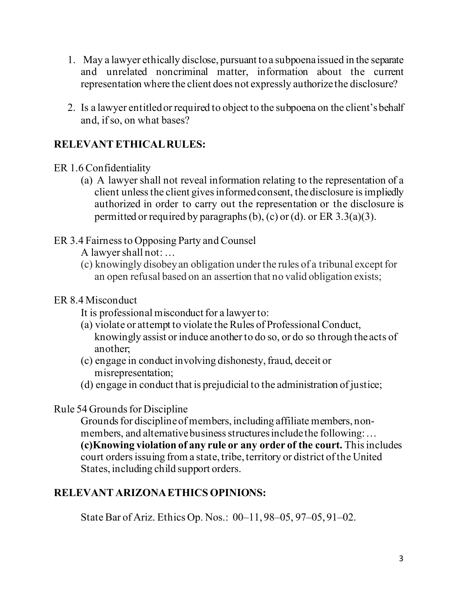- 1. May a lawyer ethically disclose, pursuant to a subpoena issued in the separate and unrelated noncriminal matter, information about the current representation where the client does not expressly authorize the disclosure?
- 2. Is a lawyer entitled or required to object to the subpoena on the client's behalf and, if so, on what bases?

# **RELEVANT ETHICAL RULES:**

- ER 1.6 Confidentiality
	- (a) A lawyer shall not reveal information relating to the representation of a client unless the client gives informed consent, the disclosure is impliedly authorized in order to carry out the representation or the disclosure is permitted or required by paragraphs (b), (c) or (d). or ER  $3.3(a)(3)$ .
- ER 3.4 Fairness to Opposing Party and Counsel

A lawyer shall not: …

(c) knowingly disobey an obligation under the rules of a tribunal except for an open refusal based on an assertion that no valid obligation exists;

## ER 8.4 Misconduct

- It is professional misconduct for a lawyer to:
- (a) violate or attempt to violate the Rules of Professional Conduct, knowingly assist or induce another to do so, or do so through the acts of another;
- (c) engage in conduct involving dishonesty, fraud, deceit or misrepresentation;
- (d) engage in conduct that is prejudicial to the administration of justice;

## Rule 54 Grounds for Discipline

Grounds for discipline of members, including affiliate members, nonmembers, and alternative business structures include the following:… **(c)Knowing violation of any rule or any order of the court.** This includes court orders issuing from a state, tribe, territory or district of the United States, including child support orders.

# **RELEVANT ARIZONA ETHICS OPINIONS:**

State Bar of Ariz. Ethics Op. Nos.: 00–11, 98–05, 97–05, 91–02.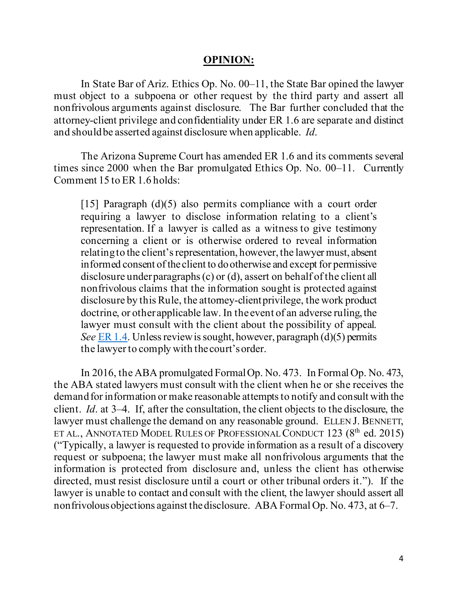#### **OPINION:**

In State Bar of Ariz. Ethics Op. No. 00–11, the State Bar opined the lawyer must object to a subpoena or other request by the third party and assert all nonfrivolous arguments against disclosure. The Bar further concluded that the attorney-client privilege and confidentiality under ER 1.6 are separate and distinct and should be asserted against disclosure when applicable. *Id*.

The Arizona Supreme Court has amended ER 1.6 and its comments several times since 2000 when the Bar promulgated Ethics Op. No. 00–11. Currently Comment 15 to ER 1.6 holds:

[15] Paragraph (d)(5) also permits compliance with a court order requiring a lawyer to disclose information relating to a client's representation. If a lawyer is called as a witness to give testimony concerning a client or is otherwise ordered to reveal information relating to the client's representation, however, the lawyer must, absent informed consent of the client to do otherwise and except for permissive disclosure under paragraphs (c) or (d), assert on behalf of the client all nonfrivolous claims that the information sought is protected against disclosure by this Rule, the attorney-client privilege, the work product doctrine, or other applicable law. In the event of an adverse ruling, the lawyer must consult with the client about the possibility of appeal. *See* [ER 1.4.](https://1.next.westlaw.com/Link/Document/FullText?findType=L&pubNum=1003576&cite=AZR42ER1.4&originatingDoc=N61A5C490388F11E4BD4AF9ECC5F94B5D&refType=LQ&originationContext=document&transitionType=DocumentItem&ppcid=34d89de268ad4cd8a6a741287a853ced&contextData=(sc.RelatedInfo)) Unless review is sought, however, paragraph (d)(5) permits the lawyer to comply with the court's order.

In 2016, the ABA promulgated Formal Op. No. 473. In Formal Op. No. 473, the ABA stated lawyers must consult with the client when he or she receives the demand for information or make reasonable attempts to notify and consult with the client. *Id*. at 3–4. If, after the consultation, the client objects to the disclosure, the lawyer must challenge the demand on any reasonable ground. ELLEN J. BENNETT, ET AL., ANNOTATED MODEL RULES OF PROFESSIONAL CONDUCT 123 (8<sup>th</sup> ed. 2015) ("Typically, a lawyer is requested to provide information as a result of a discovery request or subpoena; the lawyer must make all nonfrivolous arguments that the information is protected from disclosure and, unless the client has otherwise directed, must resist disclosure until a court or other tribunal orders it."). If the lawyer is unable to contact and consult with the client, the lawyer should assert all nonfrivolous objections against the disclosure. ABA Formal Op. No. 473, at 6–7.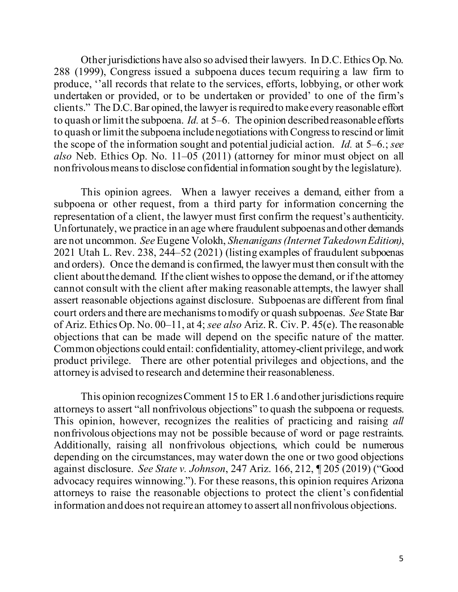Other jurisdictions have also so advised their lawyers. In D.C. Ethics Op. No. 288 (1999), Congress issued a subpoena duces tecum requiring a law firm to produce, ''all records that relate to the services, efforts, lobbying, or other work undertaken or provided, or to be undertaken or provided' to one of the firm's clients." The D.C. Bar opined, the lawyer is required to make every reasonable effort to quash or limit the subpoena. *Id.* at 5–6. The opinion described reasonable efforts to quash or limit the subpoena include negotiations with Congress to rescind or limit the scope of the information sought and potential judicial action. *Id.* at 5–6.; *see also* Neb. Ethics Op. No. 11–05 (2011) (attorney for minor must object on all nonfrivolousmeans to disclose confidential information sought by the legislature).

This opinion agrees. When a lawyer receives a demand, either from a subpoena or other request, from a third party for information concerning the representation of a client, the lawyer must first confirm the request's authenticity. Unfortunately, we practice in an age where fraudulent subpoenas and other demands are not uncommon. *See* Eugene Volokh, *Shenanigans (Internet Takedown Edition)*, 2021 Utah L. Rev. 238, 244–52 (2021) (listing examples of fraudulent subpoenas and orders). Once the demand is confirmed, the lawyer must then consult with the client about the demand. If the client wishes to oppose the demand, or if the attorney cannot consult with the client after making reasonable attempts, the lawyer shall assert reasonable objections against disclosure. Subpoenas are different from final court orders and there are mechanisms to modify or quash subpoenas. *See* State Bar of Ariz. Ethics Op. No. 00–11, at 4; *see also* Ariz. R. Civ. P. 45(e). The reasonable objections that can be made will depend on the specific nature of the matter. Common objections could entail: confidentiality, attorney-client privilege, and work product privilege. There are other potential privileges and objections, and the attorney is advised to research and determine their reasonableness.

This opinion recognizes Comment 15 to ER 1.6 and other jurisdictions require attorneys to assert "all nonfrivolous objections" to quash the subpoena or requests. This opinion, however, recognizes the realities of practicing and raising *all* nonfrivolous objections may not be possible because of word or page restraints. Additionally, raising all nonfrivolous objections, which could be numerous depending on the circumstances, may water down the one or two good objections against disclosure. *See State v. Johnson*, 247 Ariz. 166, 212, ¶ 205 (2019) ("Good advocacy requires winnowing."). For these reasons, this opinion requires Arizona attorneys to raise the reasonable objections to protect the client's confidential information and does not require an attorney to assert all nonfrivolous objections.